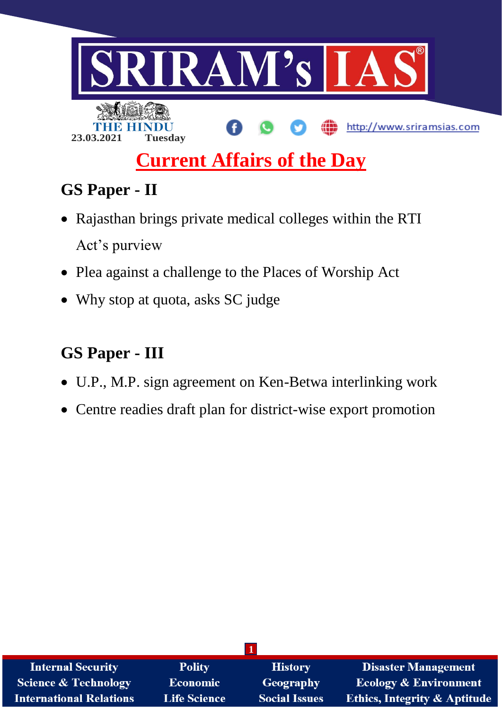

# **GS Paper - II**

- Rajasthan brings private medical colleges within the RTI Act's purview
- Plea against a challenge to the Places of Worship Act
- Why stop at quota, asks SC judge

# **GS Paper - III**

- U.P., M.P. sign agreement on Ken-Betwa interlinking work
- Centre readies draft plan for district-wise export promotion

| <b>Internal Security</b>        | <b>Polity</b>       | <b>History</b>       | <b>Disaster Management</b>              |
|---------------------------------|---------------------|----------------------|-----------------------------------------|
| <b>Science &amp; Technology</b> | <b>Economic</b>     | <b>Geography</b>     | <b>Ecology &amp; Environment</b>        |
| <b>International Relations</b>  | <b>Life Science</b> | <b>Social Issues</b> | <b>Ethics, Integrity &amp; Aptitude</b> |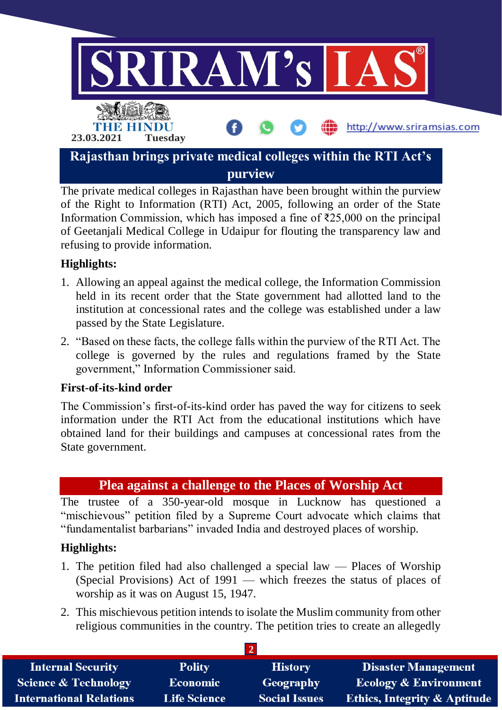

The private medical colleges in Rajasthan have been brought within the purview of the Right to Information (RTI) Act, 2005, following an order of the State Information Commission, which has imposed a fine of ₹25,000 on the principal of Geetanjali Medical College in Udaipur for flouting the transparency law and refusing to provide information.

# **Highlights:**

- 1. Allowing an appeal against the medical college, the Information Commission held in its recent order that the State government had allotted land to the institution at concessional rates and the college was established under a law passed by the State Legislature.
- 2. "Based on these facts, the college falls within the purview of the RTI Act. The college is governed by the rules and regulations framed by the State government," Information Commissioner said.

## **First-of-its-kind order**

The Commission's first-of-its-kind order has paved the way for citizens to seek information under the RTI Act from the educational institutions which have obtained land for their buildings and campuses at concessional rates from the State government.

# **Plea against a challenge to the Places of Worship Act**

The trustee of a 350-year-old mosque in Lucknow has questioned a "mischievous" petition filed by a Supreme Court advocate which claims that "fundamentalist barbarians" invaded India and destroyed places of worship.

## **Highlights:**

- 1. The petition filed had also challenged a special law Places of Worship (Special Provisions) Act of 1991 — which freezes the status of places of worship as it was on August 15, 1947.
- 2. This mischievous petition intends to isolate the Muslim community from other religious communities in the country. The petition tries to create an allegedly

| <b>Internal Security</b>        | <b>Polity</b>       | <b>History</b>       | <b>Disaster Management</b>              |
|---------------------------------|---------------------|----------------------|-----------------------------------------|
| <b>Science &amp; Technology</b> | <b>Economic</b>     | Geography            | <b>Ecology &amp; Environment</b>        |
| <b>International Relations</b>  | <b>Life Science</b> | <b>Social Issues</b> | <b>Ethics, Integrity &amp; Aptitude</b> |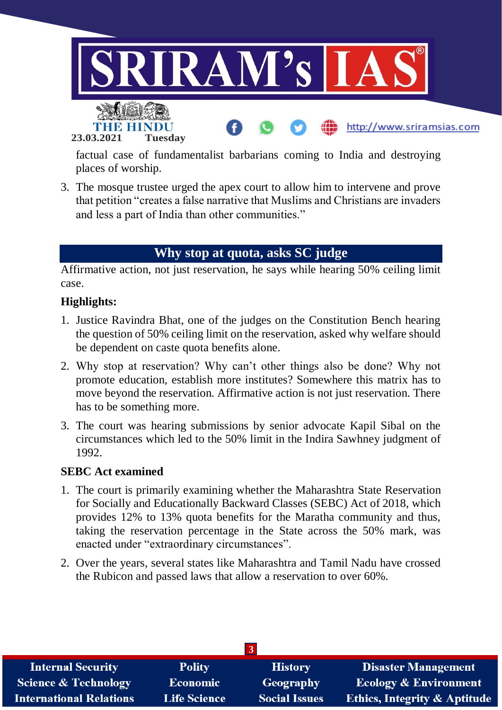

factual case of fundamentalist barbarians coming to India and destroying places of worship.

3. The mosque trustee urged the apex court to allow him to intervene and prove that petition "creates a false narrative that Muslims and Christians are invaders and less a part of India than other communities."

# **Why stop at quota, asks SC judge**

Affirmative action, not just reservation, he says while hearing 50% ceiling limit case.

## **Highlights:**

- 1. Justice Ravindra Bhat, one of the judges on the Constitution Bench hearing the question of 50% ceiling limit on the reservation, asked why welfare should be dependent on caste quota benefits alone.
- 2. Why stop at reservation? Why can't other things also be done? Why not promote education, establish more institutes? Somewhere this matrix has to move beyond the reservation. Affirmative action is not just reservation. There has to be something more.
- 3. The court was hearing submissions by senior advocate Kapil Sibal on the circumstances which led to the 50% limit in the Indira Sawhney judgment of 1992.

#### **SEBC Act examined**

- 1. The court is primarily examining whether the Maharashtra State Reservation for Socially and Educationally Backward Classes (SEBC) Act of 2018, which provides 12% to 13% quota benefits for the Maratha community and thus, taking the reservation percentage in the State across the 50% mark, was enacted under "extraordinary circumstances".
- 2. Over the years, several states like Maharashtra and Tamil Nadu have crossed the Rubicon and passed laws that allow a reservation to over 60%.

| <b>Internal Security</b>        | <b>Polity</b>       | <b>History</b>       | <b>Disaster Management</b>              |
|---------------------------------|---------------------|----------------------|-----------------------------------------|
| <b>Science &amp; Technology</b> | <b>Economic</b>     | Geography            | <b>Ecology &amp; Environment</b>        |
| <b>International Relations</b>  | <b>Life Science</b> | <b>Social Issues</b> | <b>Ethics, Integrity &amp; Aptitude</b> |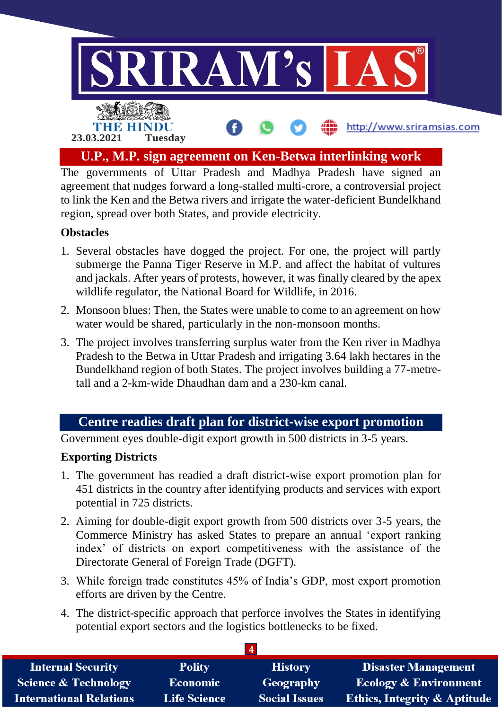

The governments of Uttar Pradesh and Madhya Pradesh have signed an agreement that nudges forward a long-stalled multi-crore, a controversial project to link the Ken and the Betwa rivers and irrigate the water-deficient Bundelkhand region, spread over both States, and provide electricity.

## **Obstacles**

- 1. Several obstacles have dogged the project. For one, the project will partly submerge the Panna Tiger Reserve in M.P. and affect the habitat of vultures and jackals. After years of protests, however, it was finally cleared by the apex wildlife regulator, the National Board for Wildlife, in 2016.
- 2. Monsoon blues: Then, the States were unable to come to an agreement on how water would be shared, particularly in the non-monsoon months.
- 3. The project involves transferring surplus water from the Ken river in Madhya Pradesh to the Betwa in Uttar Pradesh and irrigating 3.64 lakh hectares in the Bundelkhand region of both States. The project involves building a 77-metretall and a 2-km-wide Dhaudhan dam and a 230-km canal.

# **Centre readies draft plan for district-wise export promotion**

Government eyes double-digit export growth in 500 districts in 3-5 years.

# **Exporting Districts**

- 1. The government has readied a draft district-wise export promotion plan for 451 districts in the country after identifying products and services with export potential in 725 districts.
- 2. Aiming for double-digit export growth from 500 districts over 3-5 years, the Commerce Ministry has asked States to prepare an annual 'export ranking index' of districts on export competitiveness with the assistance of the Directorate General of Foreign Trade (DGFT).
- 3. While foreign trade constitutes 45% of India's GDP, most export promotion efforts are driven by the Centre.
- 4. The district-specific approach that perforce involves the States in identifying potential export sectors and the logistics bottlenecks to be fixed.

| <b>Internal Security</b>        | <b>Polity</b>       | <b>History</b>       | Disaster Management                     |
|---------------------------------|---------------------|----------------------|-----------------------------------------|
| <b>Science &amp; Technology</b> | <b>Economic</b>     | Geography            | <b>Ecology &amp; Environment</b>        |
| <b>International Relations</b>  | <b>Life Science</b> | <b>Social Issues</b> | <b>Ethics, Integrity &amp; Aptitude</b> |